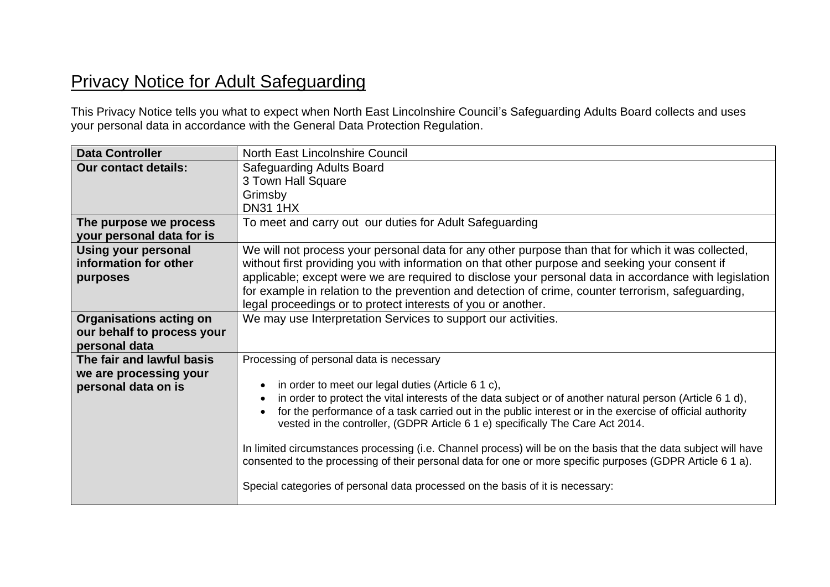## Privacy Notice for Adult Safeguarding

This Privacy Notice tells you what to expect when North East Lincolnshire Council's Safeguarding Adults Board collects and uses your personal data in accordance with the General Data Protection Regulation.

| <b>Data Controller</b>                                                        | North East Lincolnshire Council                                                                                                                                                                                                                                                                                                                                                                                                                                                                                                                                                                                                                                                                                               |
|-------------------------------------------------------------------------------|-------------------------------------------------------------------------------------------------------------------------------------------------------------------------------------------------------------------------------------------------------------------------------------------------------------------------------------------------------------------------------------------------------------------------------------------------------------------------------------------------------------------------------------------------------------------------------------------------------------------------------------------------------------------------------------------------------------------------------|
| <b>Our contact details:</b>                                                   | <b>Safeguarding Adults Board</b>                                                                                                                                                                                                                                                                                                                                                                                                                                                                                                                                                                                                                                                                                              |
|                                                                               | 3 Town Hall Square                                                                                                                                                                                                                                                                                                                                                                                                                                                                                                                                                                                                                                                                                                            |
|                                                                               | Grimsby                                                                                                                                                                                                                                                                                                                                                                                                                                                                                                                                                                                                                                                                                                                       |
|                                                                               | <b>DN31 1HX</b>                                                                                                                                                                                                                                                                                                                                                                                                                                                                                                                                                                                                                                                                                                               |
| The purpose we process                                                        | To meet and carry out our duties for Adult Safeguarding                                                                                                                                                                                                                                                                                                                                                                                                                                                                                                                                                                                                                                                                       |
| your personal data for is                                                     |                                                                                                                                                                                                                                                                                                                                                                                                                                                                                                                                                                                                                                                                                                                               |
| <b>Using your personal</b><br>information for other<br>purposes               | We will not process your personal data for any other purpose than that for which it was collected,<br>without first providing you with information on that other purpose and seeking your consent if<br>applicable; except were we are required to disclose your personal data in accordance with legislation<br>for example in relation to the prevention and detection of crime, counter terrorism, safeguarding,                                                                                                                                                                                                                                                                                                           |
|                                                                               | legal proceedings or to protect interests of you or another.                                                                                                                                                                                                                                                                                                                                                                                                                                                                                                                                                                                                                                                                  |
| <b>Organisations acting on</b><br>our behalf to process your<br>personal data | We may use Interpretation Services to support our activities.                                                                                                                                                                                                                                                                                                                                                                                                                                                                                                                                                                                                                                                                 |
| The fair and lawful basis<br>we are processing your<br>personal data on is    | Processing of personal data is necessary<br>in order to meet our legal duties (Article 6 1 c),<br>in order to protect the vital interests of the data subject or of another natural person (Article 6 1 d),<br>for the performance of a task carried out in the public interest or in the exercise of official authority<br>vested in the controller, (GDPR Article 6 1 e) specifically The Care Act 2014.<br>In limited circumstances processing (i.e. Channel process) will be on the basis that the data subject will have<br>consented to the processing of their personal data for one or more specific purposes (GDPR Article 6 1 a).<br>Special categories of personal data processed on the basis of it is necessary: |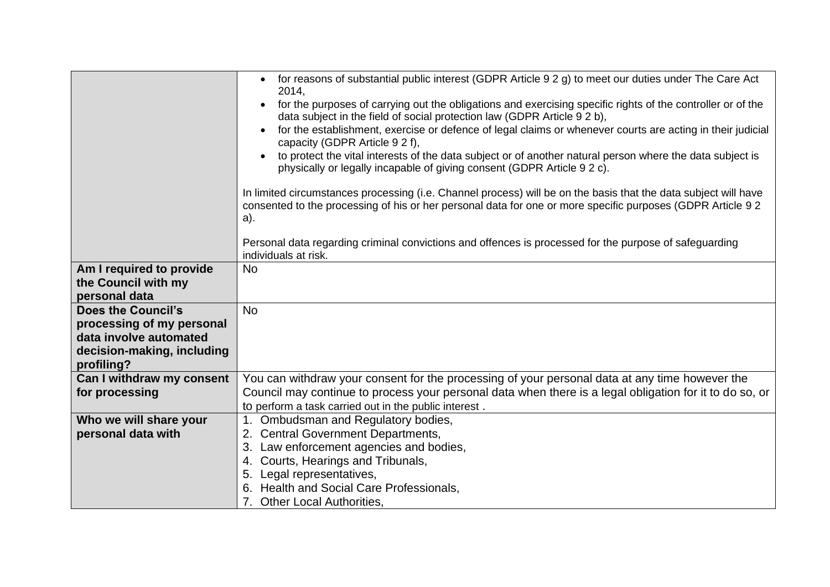|                                                     | for reasons of substantial public interest (GDPR Article 9 2 g) to meet our duties under The Care Act<br>$\bullet$<br>2014,<br>for the purposes of carrying out the obligations and exercising specific rights of the controller or of the<br>data subject in the field of social protection law (GDPR Article 9 2 b),<br>for the establishment, exercise or defence of legal claims or whenever courts are acting in their judicial<br>capacity (GDPR Article 9 2 f),<br>to protect the vital interests of the data subject or of another natural person where the data subject is<br>physically or legally incapable of giving consent (GDPR Article 9 2 c).<br>In limited circumstances processing (i.e. Channel process) will be on the basis that the data subject will have<br>consented to the processing of his or her personal data for one or more specific purposes (GDPR Article 9 2<br>a).<br>Personal data regarding criminal convictions and offences is processed for the purpose of safeguarding |
|-----------------------------------------------------|-------------------------------------------------------------------------------------------------------------------------------------------------------------------------------------------------------------------------------------------------------------------------------------------------------------------------------------------------------------------------------------------------------------------------------------------------------------------------------------------------------------------------------------------------------------------------------------------------------------------------------------------------------------------------------------------------------------------------------------------------------------------------------------------------------------------------------------------------------------------------------------------------------------------------------------------------------------------------------------------------------------------|
|                                                     | individuals at risk.                                                                                                                                                                                                                                                                                                                                                                                                                                                                                                                                                                                                                                                                                                                                                                                                                                                                                                                                                                                              |
| Am I required to provide                            | <b>No</b>                                                                                                                                                                                                                                                                                                                                                                                                                                                                                                                                                                                                                                                                                                                                                                                                                                                                                                                                                                                                         |
| the Council with my                                 |                                                                                                                                                                                                                                                                                                                                                                                                                                                                                                                                                                                                                                                                                                                                                                                                                                                                                                                                                                                                                   |
| personal data                                       |                                                                                                                                                                                                                                                                                                                                                                                                                                                                                                                                                                                                                                                                                                                                                                                                                                                                                                                                                                                                                   |
| <b>Does the Council's</b>                           | <b>No</b>                                                                                                                                                                                                                                                                                                                                                                                                                                                                                                                                                                                                                                                                                                                                                                                                                                                                                                                                                                                                         |
| processing of my personal<br>data involve automated |                                                                                                                                                                                                                                                                                                                                                                                                                                                                                                                                                                                                                                                                                                                                                                                                                                                                                                                                                                                                                   |
| decision-making, including                          |                                                                                                                                                                                                                                                                                                                                                                                                                                                                                                                                                                                                                                                                                                                                                                                                                                                                                                                                                                                                                   |
| profiling?                                          |                                                                                                                                                                                                                                                                                                                                                                                                                                                                                                                                                                                                                                                                                                                                                                                                                                                                                                                                                                                                                   |
| Can I withdraw my consent                           | You can withdraw your consent for the processing of your personal data at any time however the                                                                                                                                                                                                                                                                                                                                                                                                                                                                                                                                                                                                                                                                                                                                                                                                                                                                                                                    |
| for processing                                      | Council may continue to process your personal data when there is a legal obligation for it to do so, or                                                                                                                                                                                                                                                                                                                                                                                                                                                                                                                                                                                                                                                                                                                                                                                                                                                                                                           |
|                                                     | to perform a task carried out in the public interest.                                                                                                                                                                                                                                                                                                                                                                                                                                                                                                                                                                                                                                                                                                                                                                                                                                                                                                                                                             |
| Who we will share your                              | 1. Ombudsman and Regulatory bodies,                                                                                                                                                                                                                                                                                                                                                                                                                                                                                                                                                                                                                                                                                                                                                                                                                                                                                                                                                                               |
| personal data with                                  | 2. Central Government Departments,                                                                                                                                                                                                                                                                                                                                                                                                                                                                                                                                                                                                                                                                                                                                                                                                                                                                                                                                                                                |
|                                                     | Law enforcement agencies and bodies,<br>3.                                                                                                                                                                                                                                                                                                                                                                                                                                                                                                                                                                                                                                                                                                                                                                                                                                                                                                                                                                        |
|                                                     | Courts, Hearings and Tribunals,<br>4.                                                                                                                                                                                                                                                                                                                                                                                                                                                                                                                                                                                                                                                                                                                                                                                                                                                                                                                                                                             |
|                                                     | Legal representatives,<br>5.                                                                                                                                                                                                                                                                                                                                                                                                                                                                                                                                                                                                                                                                                                                                                                                                                                                                                                                                                                                      |
|                                                     | Health and Social Care Professionals,                                                                                                                                                                                                                                                                                                                                                                                                                                                                                                                                                                                                                                                                                                                                                                                                                                                                                                                                                                             |
|                                                     | 7. Other Local Authorities,                                                                                                                                                                                                                                                                                                                                                                                                                                                                                                                                                                                                                                                                                                                                                                                                                                                                                                                                                                                       |